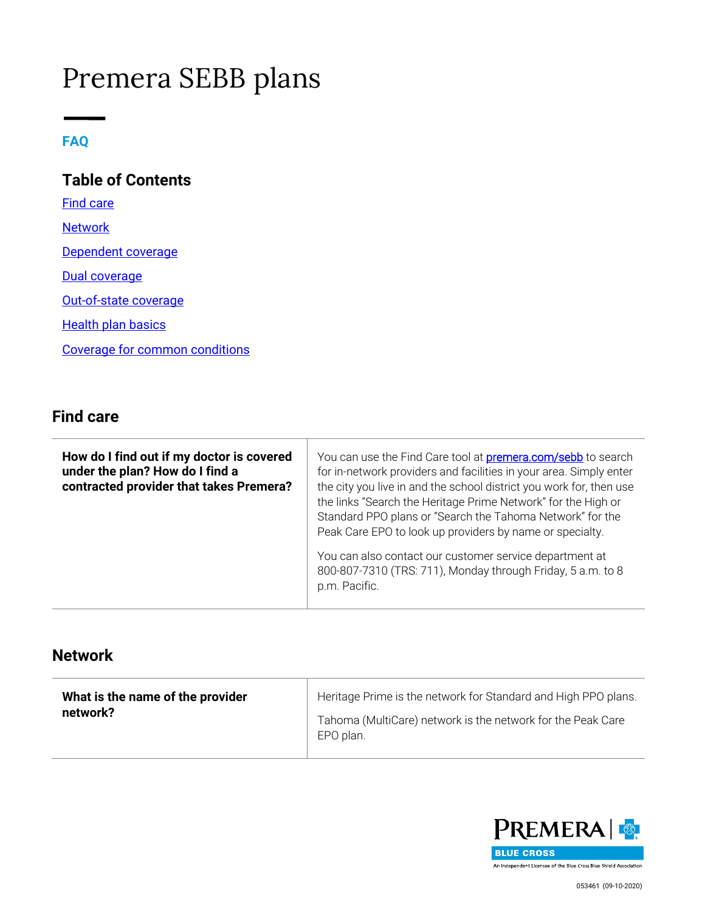# Premera SEBB plans

#### **FAQ**

**Table of Contents** [Find care](#page-0-0) **[Network](#page-0-1)** [Dependent coverage](#page-1-0) [Dual coverage](#page-1-1) [Out-of-state coverage](#page-1-2) **[Health plan basics](#page-2-0)** [Coverage for common conditions](#page-2-1)

#### <span id="page-0-0"></span>**Find care**

| How do I find out if my doctor is covered<br>under the plan? How do I find a<br>contracted provider that takes Premera? | You can use the Find Care tool at <b>premera.com/sebb</b> to search<br>for in-network providers and facilities in your area. Simply enter<br>the city you live in and the school district you work for, then use<br>the links "Search the Heritage Prime Network" for the High or<br>Standard PPO plans or "Search the Tahoma Network" for the<br>Peak Care EPO to look up providers by name or specialty. |
|-------------------------------------------------------------------------------------------------------------------------|------------------------------------------------------------------------------------------------------------------------------------------------------------------------------------------------------------------------------------------------------------------------------------------------------------------------------------------------------------------------------------------------------------|
|                                                                                                                         | You can also contact our customer service department at<br>800-807-7310 (TRS: 711), Monday through Friday, 5 a.m. to 8<br>p.m. Pacific.                                                                                                                                                                                                                                                                    |

#### <span id="page-0-1"></span>**Network**

| What is the name of the provider | Heritage Prime is the network for Standard and High PPO plans.           |
|----------------------------------|--------------------------------------------------------------------------|
| network?                         | Tahoma (MultiCare) network is the network for the Peak Care<br>EPO plan. |

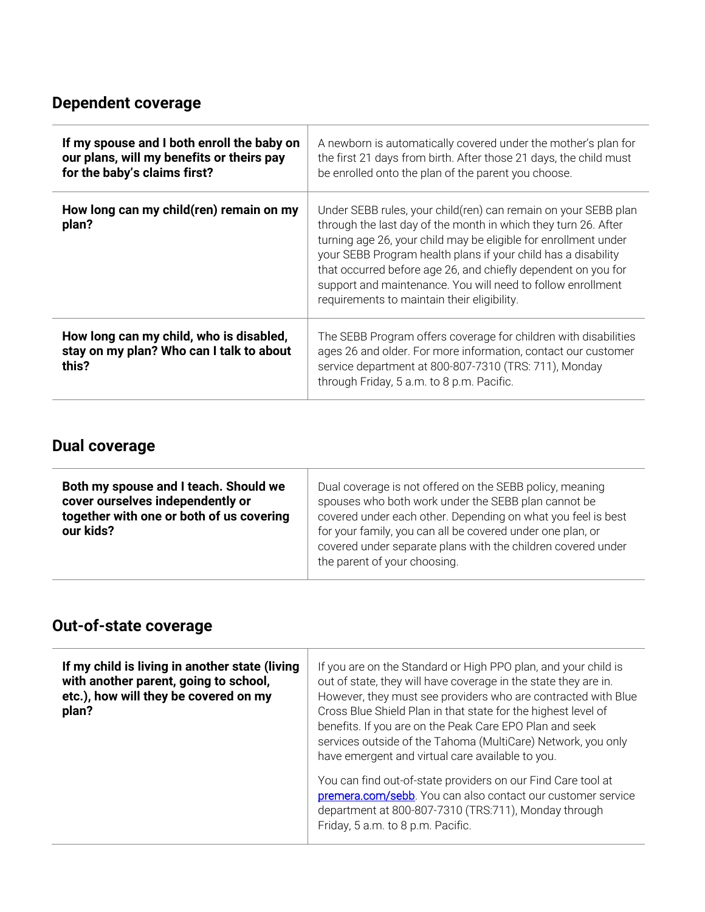## <span id="page-1-0"></span>**Dependent coverage**

| If my spouse and I both enroll the baby on<br>our plans, will my benefits or theirs pay<br>for the baby's claims first? | A newborn is automatically covered under the mother's plan for<br>the first 21 days from birth. After those 21 days, the child must<br>be enrolled onto the plan of the parent you choose.                                                                                                                                                                                                                                                          |
|-------------------------------------------------------------------------------------------------------------------------|-----------------------------------------------------------------------------------------------------------------------------------------------------------------------------------------------------------------------------------------------------------------------------------------------------------------------------------------------------------------------------------------------------------------------------------------------------|
| How long can my child(ren) remain on my<br>plan?                                                                        | Under SEBB rules, your child(ren) can remain on your SEBB plan<br>through the last day of the month in which they turn 26. After<br>turning age 26, your child may be eligible for enrollment under<br>your SEBB Program health plans if your child has a disability<br>that occurred before age 26, and chiefly dependent on you for<br>support and maintenance. You will need to follow enrollment<br>requirements to maintain their eligibility. |
| How long can my child, who is disabled,<br>stay on my plan? Who can I talk to about<br>this?                            | The SEBB Program offers coverage for children with disabilities<br>ages 26 and older. For more information, contact our customer<br>service department at 800-807-7310 (TRS: 711), Monday<br>through Friday, 5 a.m. to 8 p.m. Pacific.                                                                                                                                                                                                              |

### <span id="page-1-1"></span>**Dual coverage**

| Both my spouse and I teach. Should we<br>cover ourselves independently or<br>together with one or both of us covering<br>our kids? | Dual coverage is not offered on the SEBB policy, meaning<br>spouses who both work under the SEBB plan cannot be<br>covered under each other. Depending on what you feel is best<br>for your family, you can all be covered under one plan, or<br>covered under separate plans with the children covered under<br>the parent of your choosing. |
|------------------------------------------------------------------------------------------------------------------------------------|-----------------------------------------------------------------------------------------------------------------------------------------------------------------------------------------------------------------------------------------------------------------------------------------------------------------------------------------------|
|------------------------------------------------------------------------------------------------------------------------------------|-----------------------------------------------------------------------------------------------------------------------------------------------------------------------------------------------------------------------------------------------------------------------------------------------------------------------------------------------|

## <span id="page-1-2"></span>**Out-of-state coverage**

| If my child is living in another state (living<br>with another parent, going to school,<br>etc.), how will they be covered on my<br>plan? | If you are on the Standard or High PPO plan, and your child is<br>out of state, they will have coverage in the state they are in.<br>However, they must see providers who are contracted with Blue<br>Cross Blue Shield Plan in that state for the highest level of<br>benefits. If you are on the Peak Care EPO Plan and seek<br>services outside of the Tahoma (MultiCare) Network, you only<br>have emergent and virtual care available to you. |
|-------------------------------------------------------------------------------------------------------------------------------------------|----------------------------------------------------------------------------------------------------------------------------------------------------------------------------------------------------------------------------------------------------------------------------------------------------------------------------------------------------------------------------------------------------------------------------------------------------|
|                                                                                                                                           | You can find out-of-state providers on our Find Care tool at<br>premera.com/sebb. You can also contact our customer service<br>department at 800-807-7310 (TRS:711), Monday through<br>Friday, 5 a.m. to 8 p.m. Pacific.                                                                                                                                                                                                                           |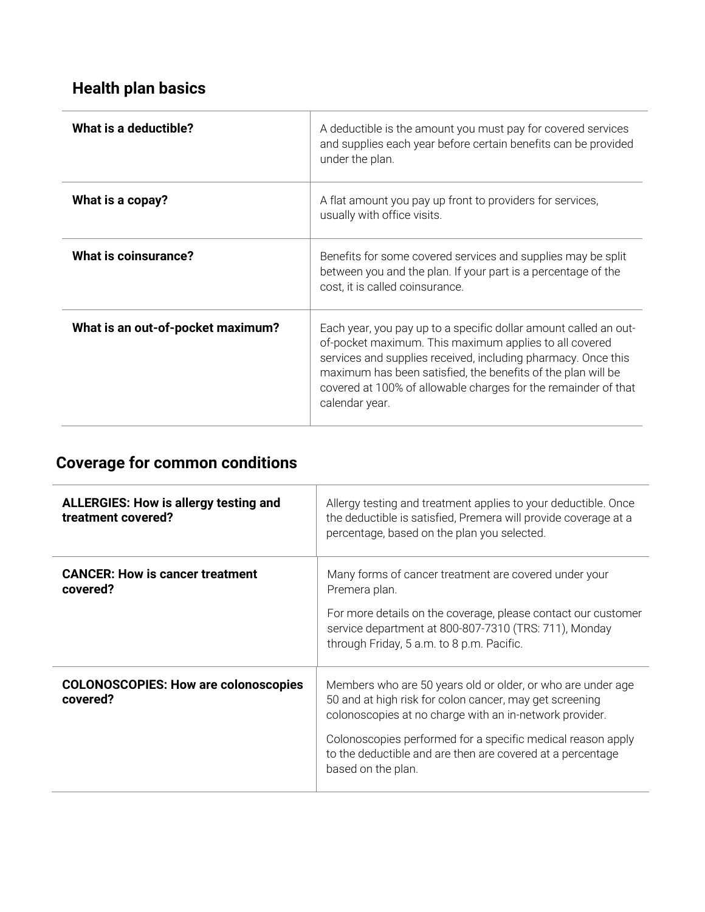## <span id="page-2-0"></span>**Health plan basics**

| What is a deductible?             | A deductible is the amount you must pay for covered services<br>and supplies each year before certain benefits can be provided<br>under the plan.                                                                                                                                                                                               |
|-----------------------------------|-------------------------------------------------------------------------------------------------------------------------------------------------------------------------------------------------------------------------------------------------------------------------------------------------------------------------------------------------|
| What is a copay?                  | A flat amount you pay up front to providers for services,<br>usually with office visits.                                                                                                                                                                                                                                                        |
| What is coinsurance?              | Benefits for some covered services and supplies may be split<br>between you and the plan. If your part is a percentage of the<br>cost, it is called coinsurance.                                                                                                                                                                                |
| What is an out-of-pocket maximum? | Each year, you pay up to a specific dollar amount called an out-<br>of-pocket maximum. This maximum applies to all covered<br>services and supplies received, including pharmacy. Once this<br>maximum has been satisfied, the benefits of the plan will be<br>covered at 100% of allowable charges for the remainder of that<br>calendar year. |

# <span id="page-2-1"></span>**Coverage for common conditions**

| <b>ALLERGIES: How is allergy testing and</b><br>treatment covered? | Allergy testing and treatment applies to your deductible. Once<br>the deductible is satisfied, Premera will provide coverage at a<br>percentage, based on the plan you selected.                                                                                                                                                     |
|--------------------------------------------------------------------|--------------------------------------------------------------------------------------------------------------------------------------------------------------------------------------------------------------------------------------------------------------------------------------------------------------------------------------|
| <b>CANCER: How is cancer treatment</b><br>covered?                 | Many forms of cancer treatment are covered under your<br>Premera plan.<br>For more details on the coverage, please contact our customer<br>service department at 800-807-7310 (TRS: 711), Monday<br>through Friday, 5 a.m. to 8 p.m. Pacific.                                                                                        |
| <b>COLONOSCOPIES: How are colonoscopies</b><br>covered?            | Members who are 50 years old or older, or who are under age<br>50 and at high risk for colon cancer, may get screening<br>colonoscopies at no charge with an in-network provider.<br>Colonoscopies performed for a specific medical reason apply<br>to the deductible and are then are covered at a percentage<br>based on the plan. |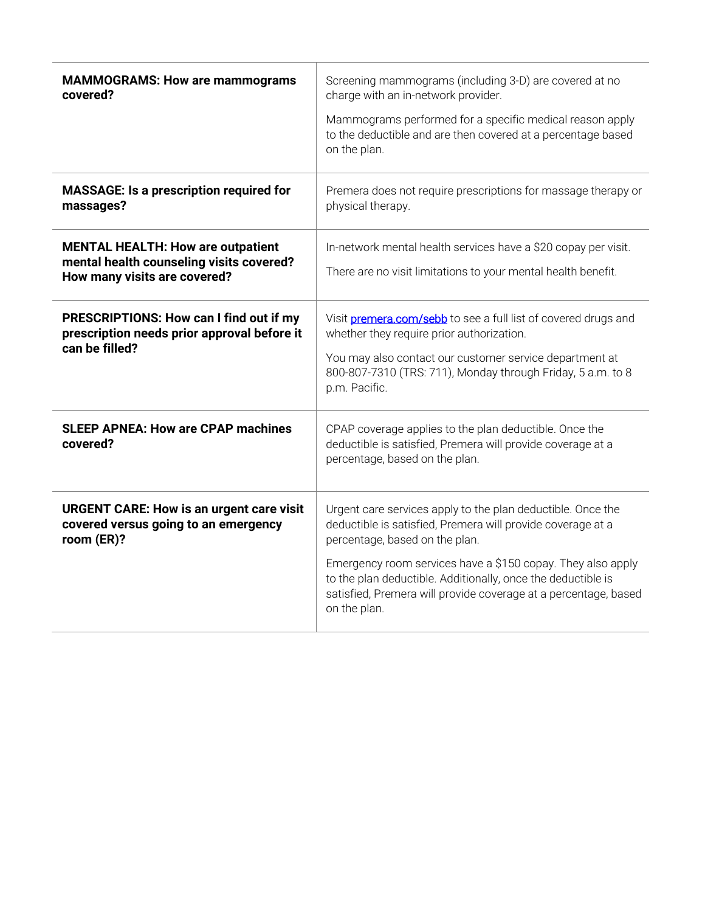| <b>MAMMOGRAMS: How are mammograms</b><br>covered?                                                                    | Screening mammograms (including 3-D) are covered at no<br>charge with an in-network provider.<br>Mammograms performed for a specific medical reason apply<br>to the deductible and are then covered at a percentage based<br>on the plan.                                                                                                                                      |
|----------------------------------------------------------------------------------------------------------------------|--------------------------------------------------------------------------------------------------------------------------------------------------------------------------------------------------------------------------------------------------------------------------------------------------------------------------------------------------------------------------------|
| <b>MASSAGE: Is a prescription required for</b><br>massages?                                                          | Premera does not require prescriptions for massage therapy or<br>physical therapy.                                                                                                                                                                                                                                                                                             |
| <b>MENTAL HEALTH: How are outpatient</b><br>mental health counseling visits covered?<br>How many visits are covered? | In-network mental health services have a \$20 copay per visit.<br>There are no visit limitations to your mental health benefit.                                                                                                                                                                                                                                                |
| PRESCRIPTIONS: How can I find out if my<br>prescription needs prior approval before it<br>can be filled?             | Visit premera.com/sebb to see a full list of covered drugs and<br>whether they require prior authorization.<br>You may also contact our customer service department at<br>800-807-7310 (TRS: 711), Monday through Friday, 5 a.m. to 8<br>p.m. Pacific.                                                                                                                         |
| <b>SLEEP APNEA: How are CPAP machines</b><br>covered?                                                                | CPAP coverage applies to the plan deductible. Once the<br>deductible is satisfied, Premera will provide coverage at a<br>percentage, based on the plan.                                                                                                                                                                                                                        |
| <b>URGENT CARE: How is an urgent care visit</b><br>covered versus going to an emergency<br>room (ER)?                | Urgent care services apply to the plan deductible. Once the<br>deductible is satisfied, Premera will provide coverage at a<br>percentage, based on the plan.<br>Emergency room services have a \$150 copay. They also apply<br>to the plan deductible. Additionally, once the deductible is<br>satisfied, Premera will provide coverage at a percentage, based<br>on the plan. |